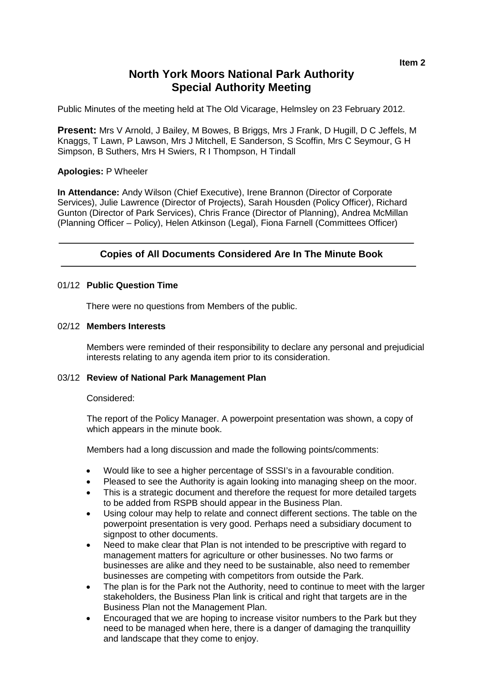# **North York Moors National Park Authority Special Authority Meeting**

Public Minutes of the meeting held at The Old Vicarage, Helmsley on 23 February 2012.

**Present:** Mrs V Arnold, J Bailey, M Bowes, B Briggs, Mrs J Frank, D Hugill, D C Jeffels, M Knaggs, T Lawn, P Lawson, Mrs J Mitchell, E Sanderson, S Scoffin, Mrs C Seymour, G H Simpson, B Suthers, Mrs H Swiers, R I Thompson, H Tindall

### **Apologies:** P Wheeler

**In Attendance:** Andy Wilson (Chief Executive), Irene Brannon (Director of Corporate Services), Julie Lawrence (Director of Projects), Sarah Housden (Policy Officer), Richard Gunton (Director of Park Services), Chris France (Director of Planning), Andrea McMillan (Planning Officer – Policy), Helen Atkinson (Legal), Fiona Farnell (Committees Officer)

# **Copies of All Documents Considered Are In The Minute Book**

### 01/12 **Public Question Time**

There were no questions from Members of the public.

### 02/12 **Members Interests**

Members were reminded of their responsibility to declare any personal and prejudicial interests relating to any agenda item prior to its consideration.

#### 03/12 **Review of National Park Management Plan**

Considered:

The report of the Policy Manager. A powerpoint presentation was shown, a copy of which appears in the minute book.

Members had a long discussion and made the following points/comments:

- Would like to see a higher percentage of SSSI's in a favourable condition.
- Pleased to see the Authority is again looking into managing sheep on the moor.
- This is a strategic document and therefore the request for more detailed targets to be added from RSPB should appear in the Business Plan.
- Using colour may help to relate and connect different sections. The table on the powerpoint presentation is very good. Perhaps need a subsidiary document to signpost to other documents.
- Need to make clear that Plan is not intended to be prescriptive with regard to management matters for agriculture or other businesses. No two farms or businesses are alike and they need to be sustainable, also need to remember businesses are competing with competitors from outside the Park.
- The plan is for the Park not the Authority, need to continue to meet with the larger stakeholders, the Business Plan link is critical and right that targets are in the Business Plan not the Management Plan.
- Encouraged that we are hoping to increase visitor numbers to the Park but they need to be managed when here, there is a danger of damaging the tranquillity and landscape that they come to enjoy.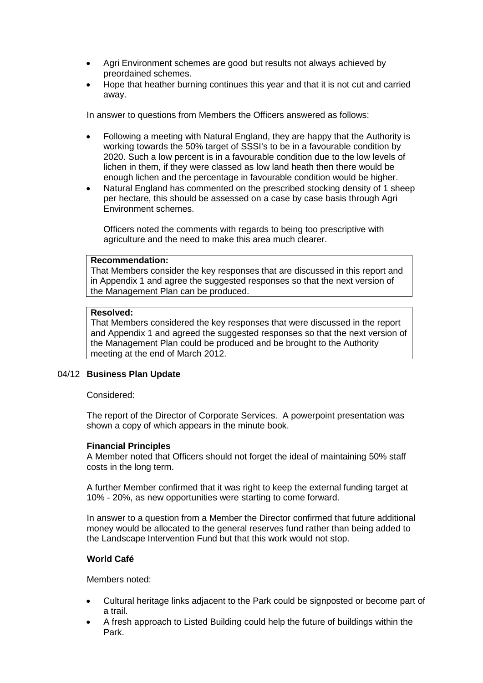- Agri Environment schemes are good but results not always achieved by preordained schemes.
- Hope that heather burning continues this year and that it is not cut and carried away.

In answer to questions from Members the Officers answered as follows:

- Following a meeting with Natural England, they are happy that the Authority is working towards the 50% target of SSSI's to be in a favourable condition by 2020. Such a low percent is in a favourable condition due to the low levels of lichen in them, if they were classed as low land heath then there would be enough lichen and the percentage in favourable condition would be higher.
- Natural England has commented on the prescribed stocking density of 1 sheep per hectare, this should be assessed on a case by case basis through Agri Environment schemes.

Officers noted the comments with regards to being too prescriptive with agriculture and the need to make this area much clearer.

#### **Recommendation:**

That Members consider the key responses that are discussed in this report and in Appendix 1 and agree the suggested responses so that the next version of the Management Plan can be produced.

#### **Resolved:**

That Members considered the key responses that were discussed in the report and Appendix 1 and agreed the suggested responses so that the next version of the Management Plan could be produced and be brought to the Authority meeting at the end of March 2012.

#### 04/12 **Business Plan Update**

### Considered:

The report of the Director of Corporate Services. A powerpoint presentation was shown a copy of which appears in the minute book.

#### **Financial Principles**

A Member noted that Officers should not forget the ideal of maintaining 50% staff costs in the long term.

A further Member confirmed that it was right to keep the external funding target at 10% - 20%, as new opportunities were starting to come forward.

In answer to a question from a Member the Director confirmed that future additional money would be allocated to the general reserves fund rather than being added to the Landscape Intervention Fund but that this work would not stop.

#### **World Café**

Members noted:

- Cultural heritage links adjacent to the Park could be signposted or become part of a trail.
- A fresh approach to Listed Building could help the future of buildings within the Park.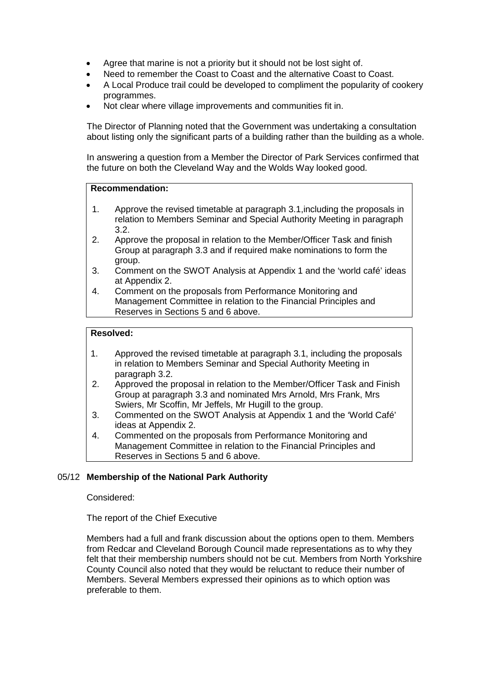- Agree that marine is not a priority but it should not be lost sight of.
- Need to remember the Coast to Coast and the alternative Coast to Coast.
- A Local Produce trail could be developed to compliment the popularity of cookery programmes.
- Not clear where village improvements and communities fit in.

The Director of Planning noted that the Government was undertaking a consultation about listing only the significant parts of a building rather than the building as a whole.

In answering a question from a Member the Director of Park Services confirmed that the future on both the Cleveland Way and the Wolds Way looked good.

### **Recommendation:**

- 1. Approve the revised timetable at paragraph 3.1,including the proposals in relation to Members Seminar and Special Authority Meeting in paragraph 3.2.
- 2. Approve the proposal in relation to the Member/Officer Task and finish Group at paragraph 3.3 and if required make nominations to form the group.
- 3. Comment on the SWOT Analysis at Appendix 1 and the 'world café' ideas at Appendix 2.
- 4. Comment on the proposals from Performance Monitoring and Management Committee in relation to the Financial Principles and Reserves in Sections 5 and 6 above.

# **Resolved:**

- 1. Approved the revised timetable at paragraph 3.1, including the proposals in relation to Members Seminar and Special Authority Meeting in paragraph 3.2.
- 2. Approved the proposal in relation to the Member/Officer Task and Finish Group at paragraph 3.3 and nominated Mrs Arnold, Mrs Frank, Mrs Swiers, Mr Scoffin, Mr Jeffels, Mr Hugill to the group.
- 3. Commented on the SWOT Analysis at Appendix 1 and the 'World Café' ideas at Appendix 2.
- 4. Commented on the proposals from Performance Monitoring and Management Committee in relation to the Financial Principles and Reserves in Sections 5 and 6 above.

# 05/12 **Membership of the National Park Authority**

Considered:

The report of the Chief Executive

Members had a full and frank discussion about the options open to them. Members from Redcar and Cleveland Borough Council made representations as to why they felt that their membership numbers should not be cut. Members from North Yorkshire County Council also noted that they would be reluctant to reduce their number of Members. Several Members expressed their opinions as to which option was preferable to them.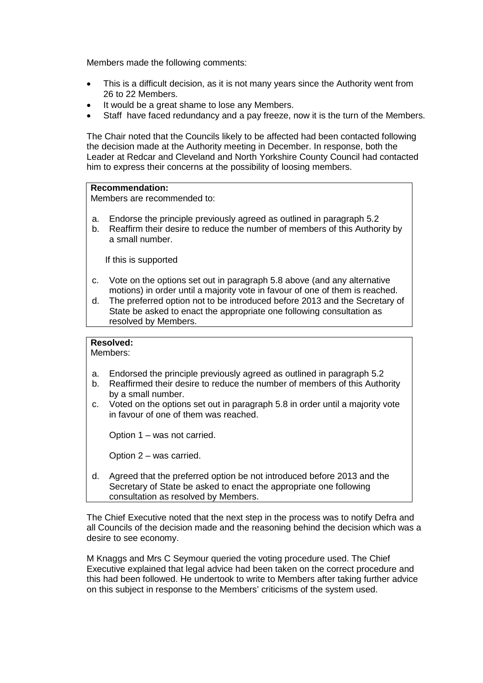Members made the following comments:

- This is a difficult decision, as it is not many years since the Authority went from 26 to 22 Members.
- It would be a great shame to lose any Members.
- Staff have faced redundancy and a pay freeze, now it is the turn of the Members.

The Chair noted that the Councils likely to be affected had been contacted following the decision made at the Authority meeting in December. In response, both the Leader at Redcar and Cleveland and North Yorkshire County Council had contacted him to express their concerns at the possibility of loosing members.

# **Recommendation:**

Members are recommended to:

- a. Endorse the principle previously agreed as outlined in paragraph 5.2
- b. Reaffirm their desire to reduce the number of members of this Authority by a small number.

If this is supported

- c. Vote on the options set out in paragraph 5.8 above (and any alternative motions) in order until a majority vote in favour of one of them is reached.
- d. The preferred option not to be introduced before 2013 and the Secretary of State be asked to enact the appropriate one following consultation as resolved by Members.

# **Resolved:**

Members:

- a. Endorsed the principle previously agreed as outlined in paragraph 5.2
- b. Reaffirmed their desire to reduce the number of members of this Authority by a small number.
- c. Voted on the options set out in paragraph 5.8 in order until a majority vote in favour of one of them was reached.

Option 1 – was not carried.

Option 2 – was carried.

d. Agreed that the preferred option be not introduced before 2013 and the Secretary of State be asked to enact the appropriate one following consultation as resolved by Members.

The Chief Executive noted that the next step in the process was to notify Defra and all Councils of the decision made and the reasoning behind the decision which was a desire to see economy.

M Knaggs and Mrs C Seymour queried the voting procedure used. The Chief Executive explained that legal advice had been taken on the correct procedure and this had been followed. He undertook to write to Members after taking further advice on this subject in response to the Members' criticisms of the system used.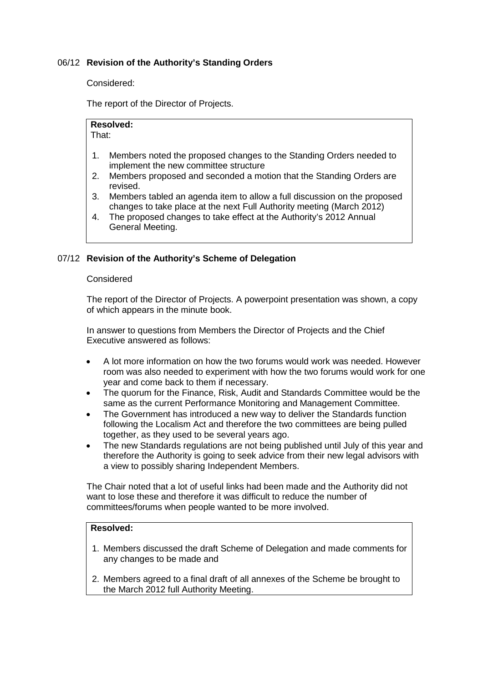# 06/12 **Revision of the Authority's Standing Orders**

Considered:

The report of the Director of Projects.

**Resolved:**  That:

- 1. Members noted the proposed changes to the Standing Orders needed to implement the new committee structure
- 2. Members proposed and seconded a motion that the Standing Orders are revised.
- 3. Members tabled an agenda item to allow a full discussion on the proposed changes to take place at the next Full Authority meeting (March 2012)
- 4. The proposed changes to take effect at the Authority's 2012 Annual General Meeting.

### 07/12 **Revision of the Authority's Scheme of Delegation**

#### Considered

The report of the Director of Projects. A powerpoint presentation was shown, a copy of which appears in the minute book.

In answer to questions from Members the Director of Projects and the Chief Executive answered as follows:

- A lot more information on how the two forums would work was needed. However room was also needed to experiment with how the two forums would work for one year and come back to them if necessary.
- The quorum for the Finance, Risk, Audit and Standards Committee would be the same as the current Performance Monitoring and Management Committee.
- The Government has introduced a new way to deliver the Standards function following the Localism Act and therefore the two committees are being pulled together, as they used to be several years ago.
- The new Standards regulations are not being published until July of this year and therefore the Authority is going to seek advice from their new legal advisors with a view to possibly sharing Independent Members.

The Chair noted that a lot of useful links had been made and the Authority did not want to lose these and therefore it was difficult to reduce the number of committees/forums when people wanted to be more involved.

# **Resolved:**

- 1. Members discussed the draft Scheme of Delegation and made comments for any changes to be made and
- 2. Members agreed to a final draft of all annexes of the Scheme be brought to the March 2012 full Authority Meeting.